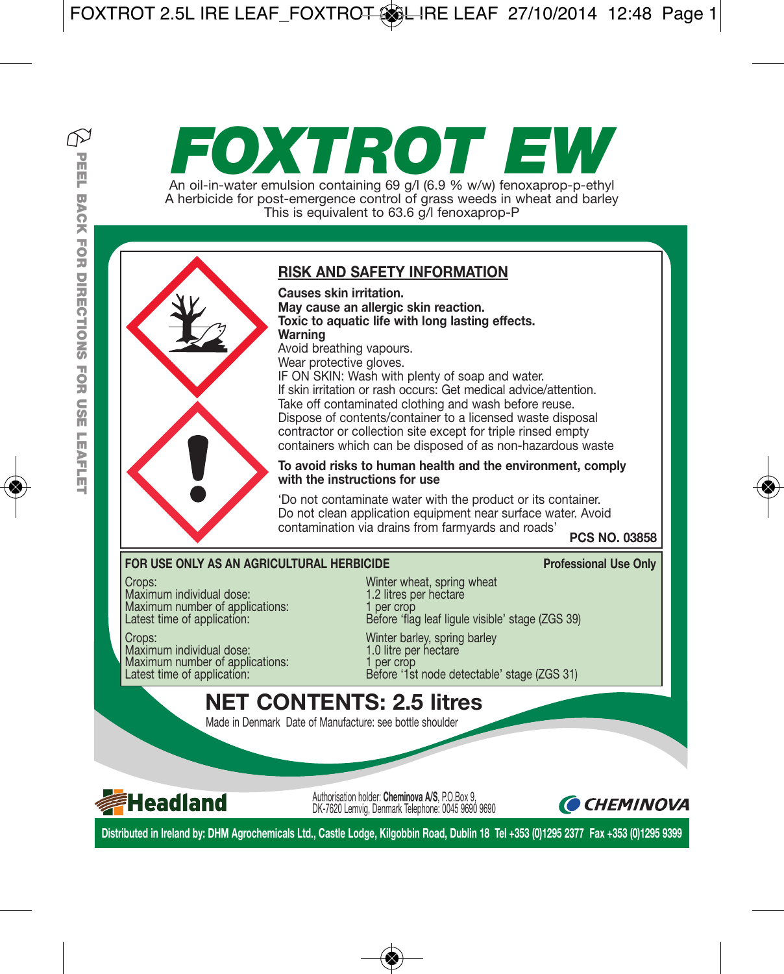## ∩ି **PEEL BACK FOR DIRECTIONS FOR USE** LEAFLE **LEAFLET**

# An oil-in-water emulsion containing 69 g/l (6.9 % w/w) fe An oil-in-water emulsion containing 69 g/l (6.9 % w/w) fenoxaprop-p-ethyl<br>A herbicide for post-emergence control of grass weeds in wheat and barley<br>This is equivalent to 63.6 g/l fenoxaprop-P

### **RISK AND SAFETY INFORMATION**

**FOR USE ONLY AS AN AGRICULTURAL HERBICIDE Professional Use Only** Crops: Crops: Winter wheat, spring wheat<br>
Maximum individual dose: 1.2 litres per hectare Maximum individual dose: 1.2 litres per hectare in the heat of a state of a state of a state of a state of a state of a state of a state of a state of a state of a state of a state of a state of a state of a state of a sta Maximum number of applications:<br>Latest time of application: Before 'flag leaf ligule visible' stage (ZGS 39) Crops: Crops: Winter barley, spring barley<br>
Maximum individual dose: 1.0 litre per hectare **Causes skin irritation. May cause an allergic skin reaction. Toxic to aquatic life with long lasting effects. Warning** Avoid breathing vapours. Wear protective gloves. IF ON SKIN: Wash with plenty of soap and water. If skin irritation or rash occurs: Get medical advice/attention. Take off contaminated clothing and wash before reuse. Dispose of contents/container to a licensed waste disposal contractor or collection site except for triple rinsed empty containers which can be disposed of as non-hazardous waste **To avoid risks to human health and the environment, comply with the instructions for use** 'Do not contaminate water with the product or its container. Do not clean application equipment near surface water. Avoid contamination via drains from farmyards and roads'

Maximum individual dose: Maximum number of applications:<br>Latest time of application: 1 per crop<br>Before '1st node detectable' stage (ZGS 31)

### **NET CONTENTS: 2.5 litres** Made in Denmark Date of Manufacture: see bottle shoulder

**Headland** 

Authorisation holder: **Cheminova A/S**, P.O.Box 9, DK-7620 Lemvig, Denmark Telephone: 0045 9690 9690



Distributed in Ireland by: DHM Agrochemicals Ltd., Castle Lodge, Kilgobbin Road, Dublin 18 Tel +353 (0)1295 2377 Fax +353 (0)1295 9399

**PCS NO. 03858**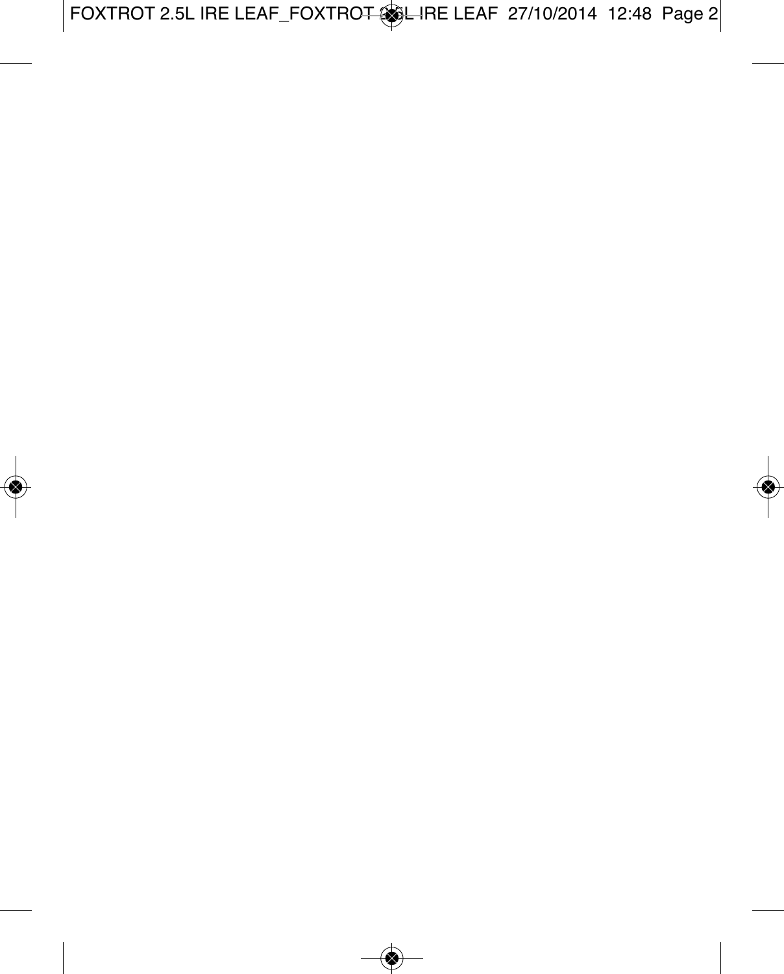$\vert$ FOXTROT 2.5L IRE LEAF\_FOXTROT  $\bigcirc$ L-IRE LEAF 27/10/2014 12:48 Page 2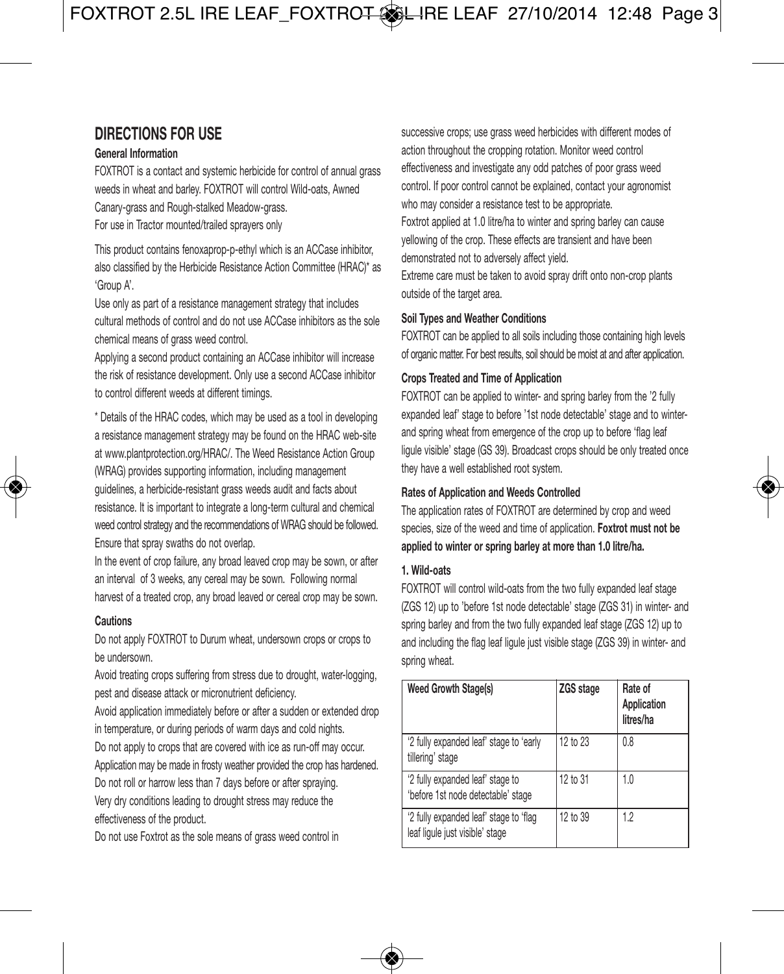#### **DIRECTIONS FOR USE**

#### **General Information**

FOXTROT is a contact and systemic herbicide for control of annual grass weeds in wheat and barley. FOXTROT will control Wild-oats, Awned Canary-grass and Rough-stalked Meadow-grass. For use in Tractor mounted/trailed sprayers only

This product contains fenoxaprop-p-ethyl which is an ACCase inhibitor, also classified by the Herbicide Resistance Action Committee (HRAC)\* as 'Group A'.

Use only as part of a resistance management strategy that includes cultural methods of control and do not use ACCase inhibitors as the sole chemical means of grass weed control.

Applying a second product containing an ACCase inhibitor will increase the risk of resistance development. Only use a second ACCase inhibitor to control different weeds at different timings.

\* Details of the HRAC codes, which may be used as a tool in developing a resistance management strategy may be found on the HRAC web-site at www.plantprotection.org/HRAC/. The Weed Resistance Action Group (WRAG) provides supporting information, including management guidelines, a herbicide-resistant grass weeds audit and facts about resistance. It is important to integrate a long-term cultural and chemical weed control strategy and the recommendations of WRAG should be followed. Ensure that spray swaths do not overlap.

In the event of crop failure, any broad leaved crop may be sown, or after an interval of 3 weeks, any cereal may be sown. Following normal harvest of a treated crop, any broad leaved or cereal crop may be sown.

#### **Cautions**

Do not apply FOXTROT to Durum wheat, undersown crops or crops to be undersown.

Avoid treating crops suffering from stress due to drought, water-logging, pest and disease attack or micronutrient deficiency.

Avoid application immediately before or after a sudden or extended drop in temperature, or during periods of warm days and cold nights. Do not apply to crops that are covered with ice as run-off may occur. Application may be made in frosty weather provided the crop has hardened. Do not roll or harrow less than 7 days before or after spraying.

Very dry conditions leading to drought stress may reduce the effectiveness of the product.

Do not use Foxtrot as the sole means of grass weed control in

successive crops; use grass weed herbicides with different modes of action throughout the cropping rotation. Monitor weed control effectiveness and investigate any odd patches of poor grass weed control. If poor control cannot be explained, contact your agronomist who may consider a resistance test to be appropriate.

Foxtrot applied at 1.0 litre/ha to winter and spring barley can cause yellowing of the crop. These effects are transient and have been demonstrated not to adversely affect yield.

Extreme care must be taken to avoid spray drift onto non-crop plants outside of the target area.

#### **Soil Types and Weather Conditions**

FOXTROT can be applied to all soils including those containing high levels of organic matter. For best results, soil should be moist at and after application.

#### **Crops Treated and Time of Application**

FOXTROT can be applied to winter- and spring barley from the '2 fully expanded leaf' stage to before '1st node detectable' stage and to winterand spring wheat from emergence of the crop up to before 'flag leaf ligule visible' stage (GS 39). Broadcast crops should be only treated once they have a well established root system.

#### **Rates of Application and Weeds Controlled**

The application rates of FOXTROT are determined by crop and weed species, size of the weed and time of application. **Foxtrot must not be applied to winter or spring barley at more than 1.0 litre/ha.**

#### **1. Wild-oats**

FOXTROT will control wild-oats from the two fully expanded leaf stage (ZGS 12) up to 'before 1st node detectable' stage (ZGS 31) in winter- and spring barley and from the two fully expanded leaf stage (ZGS 12) up to and including the flag leaf ligule just visible stage (ZGS 39) in winter- and spring wheat.

| Weed Growth Stage(s)                                                      | ZGS stage | Rate of<br>Application<br>litres/ha |
|---------------------------------------------------------------------------|-----------|-------------------------------------|
| '2 fully expanded leaf' stage to 'early<br>tillering' stage               | 12 to 23  | 0.8                                 |
| '2 fully expanded leaf' stage to<br>'before 1st node detectable' stage    | 12 to 31  | 1.0                                 |
| '2 fully expanded leaf' stage to 'flag<br>leaf liqule just visible' stage | 12 to 39  | 12                                  |